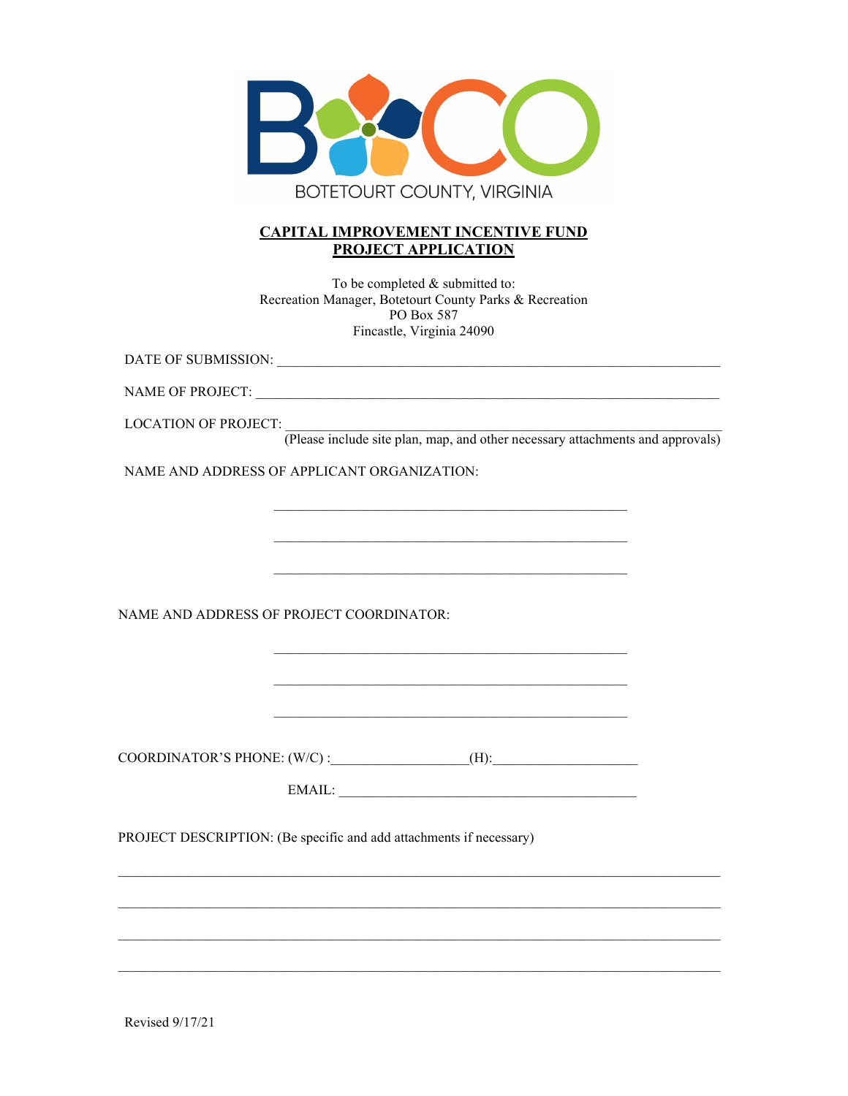

## **CAPITAL IMPROVEMENT INCENTIVE FUND PROJECT APPLICATION**

To be completed & submitted to: Recreation Manager, Botetourt County Parks & Recreation PO Box 587 Fincastle, Virginia 24090

DATE OF SUBMISSION:

NAME OF PROJECT:

LOCATION OF PROJECT: \_\_\_\_\_\_\_\_\_\_\_\_\_\_\_\_\_\_\_\_\_\_\_\_\_\_\_\_\_\_\_\_\_\_\_\_\_\_\_\_\_\_\_\_\_\_\_\_\_\_\_\_\_\_\_\_\_\_\_\_\_\_\_

(Please include site plan, map, and other necessary attachments and approvals)

NAME AND ADDRESS OF APPLICANT ORGANIZATION:

NAME AND ADDRESS OF PROJECT COORDINATOR:

COORDINATOR'S PHONE: (W/C) :\_\_\_\_\_\_\_\_\_\_\_\_\_\_\_\_\_\_\_\_(H):\_\_\_\_\_\_\_\_\_\_\_\_\_\_\_\_\_\_\_\_\_

EMAIL: \_\_\_\_\_\_\_\_\_\_\_\_\_\_\_\_\_\_\_\_\_\_\_\_\_\_\_\_\_\_\_\_\_\_\_\_\_\_\_\_\_\_\_

\_\_\_\_\_\_\_\_\_\_\_\_\_\_\_\_\_\_\_\_\_\_\_\_\_\_\_\_\_\_\_\_\_\_\_\_\_\_\_\_\_\_\_\_\_\_\_\_\_\_\_\_\_\_\_\_\_\_\_\_\_\_\_\_\_\_\_\_\_\_\_\_\_\_\_\_\_\_\_\_\_\_\_\_\_\_\_

\_\_\_\_\_\_\_\_\_\_\_\_\_\_\_\_\_\_\_\_\_\_\_\_\_\_\_\_\_\_\_\_\_\_\_\_\_\_\_\_\_\_\_\_\_\_\_\_\_\_\_\_\_\_\_\_\_\_\_\_\_\_\_\_\_\_\_\_\_\_\_\_\_\_\_\_\_\_\_\_\_\_\_\_\_\_\_

 $\mathcal{L}_\mathcal{L} = \{ \mathcal{L}_\mathcal{L} = \{ \mathcal{L}_\mathcal{L} = \{ \mathcal{L}_\mathcal{L} = \{ \mathcal{L}_\mathcal{L} = \{ \mathcal{L}_\mathcal{L} = \{ \mathcal{L}_\mathcal{L} = \{ \mathcal{L}_\mathcal{L} = \{ \mathcal{L}_\mathcal{L} = \{ \mathcal{L}_\mathcal{L} = \{ \mathcal{L}_\mathcal{L} = \{ \mathcal{L}_\mathcal{L} = \{ \mathcal{L}_\mathcal{L} = \{ \mathcal{L}_\mathcal{L} = \{ \mathcal{L}_\mathcal{$ 

\_\_\_\_\_\_\_\_\_\_\_\_\_\_\_\_\_\_\_\_\_\_\_\_\_\_\_\_\_\_\_\_\_\_\_\_\_\_\_\_\_\_\_\_\_\_\_\_\_\_\_\_\_\_\_\_\_\_\_\_\_\_\_\_\_\_\_\_\_\_\_\_\_\_\_\_\_\_\_\_\_\_\_\_\_\_\_

\_\_\_\_\_\_\_\_\_\_\_\_\_\_\_\_\_\_\_\_\_\_\_\_\_\_\_\_\_\_\_\_\_\_\_\_\_\_\_\_\_\_\_\_\_\_\_\_\_\_\_

\_\_\_\_\_\_\_\_\_\_\_\_\_\_\_\_\_\_\_\_\_\_\_\_\_\_\_\_\_\_\_\_\_\_\_\_\_\_\_\_\_\_\_\_\_\_\_\_\_\_\_

\_\_\_\_\_\_\_\_\_\_\_\_\_\_\_\_\_\_\_\_\_\_\_\_\_\_\_\_\_\_\_\_\_\_\_\_\_\_\_\_\_\_\_\_\_\_\_\_\_\_\_

\_\_\_\_\_\_\_\_\_\_\_\_\_\_\_\_\_\_\_\_\_\_\_\_\_\_\_\_\_\_\_\_\_\_\_\_\_\_\_\_\_\_\_\_\_\_\_\_\_\_\_

\_\_\_\_\_\_\_\_\_\_\_\_\_\_\_\_\_\_\_\_\_\_\_\_\_\_\_\_\_\_\_\_\_\_\_\_\_\_\_\_\_\_\_\_\_\_\_\_\_\_\_

PROJECT DESCRIPTION: (Be specific and add attachments if necessary)